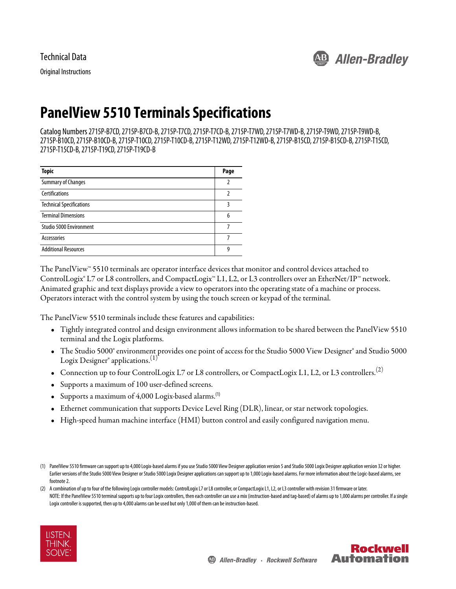Original Instructions



# **PanelView 5510 Terminals Specifications**

Catalog Numbers 2715P-B7CD, 2715P-B7CD-B, 2715P-T7CD, 2715P-T7CD-B, 2715P-T7WD, 2715P-T7WD-B, 2715P-T9WD, 2715P-T9WD-B, 2715P-B10CD, 2715P-B10CD-B, 2715P-T10CD, 2715P-T10CD-B, 2715P-T12WD, 2715P-T12WD-B, 2715P-B15CD, 2715P-B15CD-B, 2715P-T15CD, 2715P-T15CD-B, 2715P-T19CD, 2715P-T19CD-B

| <b>Topic</b>                    | Page |
|---------------------------------|------|
| <b>Summary of Changes</b>       |      |
| <b>Certifications</b>           |      |
| <b>Technical Specifications</b> |      |
| <b>Terminal Dimensions</b>      | 6    |
| Studio 5000 Environment         |      |
| Accessories                     |      |
| <b>Additional Resources</b>     | a    |

The PanelView™ 5510 terminals are operator interface devices that monitor and control devices attached to ControlLogix® L7 or L8 controllers, and CompactLogix™ L1, L2, or L3 controllers over an EtherNet/IP™ network. Animated graphic and text displays provide a view to operators into the operating state of a machine or process. Operators interact with the control system by using the touch screen or keypad of the terminal.

The PanelView 5510 terminals include these features and capabilities:

- Tightly integrated control and design environment allows information to be shared between the PanelView 5510 terminal and the Logix platforms.
- The Studio 5000° environment provides one point of access for the Studio 5000 View Designer° and Studio 5000 Logix Designer<sup>®</sup> applications.<sup>(1)</sup>
- Connection up to four ControlLogix L7 or L8 controllers, or CompactLogix L1, L2, or L3 controllers.<sup>(2)</sup>
- Supports a maximum of 100 user-defined screens.
- Supports a maximum of  $4,000$  Logix-based alarms.<sup>(1)</sup>
- Ethernet communication that supports Device Level Ring (DLR), linear, or star network topologies.
- High-speed human machine interface (HMI) button control and easily configured navigation menu.

<sup>(2)</sup> A combination of up to four of the following Logix controller models: ControlLogix L7 or L8 controller, or CompactLogix L1, L2, or L3 controller with revision 31 firmware or later. NOTE: If the PanelView 5510 terminal supports up to four Logix controllers, then each controller can use a mix (instruction-based and tag-based) of alarms up to 1,000 alarms per controller. If a single Logix controller is supported, then up to 4,000 alarms can be used but only 1,000 of them can be instruction-based.





<sup>(1)</sup> PanelView 5510 firmware can support up to 4,000 Logix-based alarms if you use Studio 5000 View Designer application version 5 and Studio 5000 Logix Designer application version 32 or higher. Earlier versions of the Studio 5000 View Designer or Studio 5000 Logix Designer applications can support up to 1,000 Logix-based alarms. For more information about the Logic-based alarms, see footnote 2.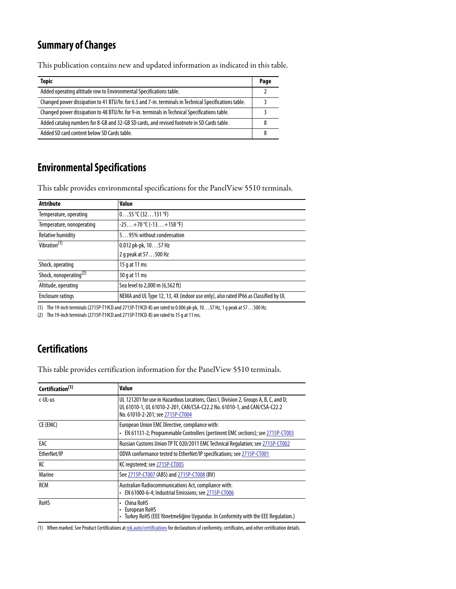### <span id="page-1-0"></span>**Summary of Changes**

This publication contains new and updated information as indicated in this table.

| Topic                                                                                                  | Page |
|--------------------------------------------------------------------------------------------------------|------|
| Added operating altitude row to Environmental Specifications table.                                    |      |
| Changed power dissipation to 41 BTU/hr. for 6.5 and 7-in. terminals in Technical Specifications table. |      |
| Changed power dissipation to 48 BTU/hr. for 9-in. terminals in Technical Specifications table.         |      |
| Added catalog numbers for 8-GB and 32-GB SD cards, and revised footnote in SD Cards table.             |      |
| Added SD card content below SD Cards table.                                                            | 8    |

### <span id="page-1-2"></span>**Environmental Specifications**

This table provides environmental specifications for the PanelView 5510 terminals.

| Attribute                             | <b>Value</b>                                                                       |
|---------------------------------------|------------------------------------------------------------------------------------|
| Temperature, operating                | $\vert 0$ 55 °C (32 $\dots$ 131 °F)                                                |
| Temperature, nonoperating             | $-25+70$ °C ( $-13+158$ °F)                                                        |
| <b>Relative humidity</b>              | 595% without condensation                                                          |
| Vibration <sup><math>(1)</math></sup> | 0.012 pk-pk, 1057 Hz<br>2 g peak at 57500 Hz                                       |
| Shock, operating                      | 15 g at 11 ms                                                                      |
| Shock, nonoperating <sup>(2)</sup>    | 30 g at 11 ms                                                                      |
| Altitude, operating                   | Sea level to 2,000 m (6,562 ft)                                                    |
| Enclosure ratings                     | NEMA and UL Type 12, 13, 4X (indoor use only), also rated IP66 as Classified by UL |

(1) The 19-inch terminals (2715P-T19CD and 2715P-T19CD-B) are rated to 0.006 pk-pk, 10…57 Hz, 1 g peak at 57…500 Hz.

(2) The 19-inch terminals (2715P-T19CD and 2715P-T19CD-B) are rated to 15 g at 11 ms.

### <span id="page-1-1"></span>**Certifications**

This table provides certification information for the PanelView 5510 terminals.

| Certification <sup>(1)</sup> | Value                                                                                                                                                                                                 |
|------------------------------|-------------------------------------------------------------------------------------------------------------------------------------------------------------------------------------------------------|
| c-UL-us                      | UL 121201 for use in Hazardous Locations, Class I, Division 2, Groups A, B, C, and D;<br>UL 61010-1, UL 61010-2-201, CAN/CSA-C22.2 No. 61010-1, and CAN/CSA-C22.2<br>No. 61010-2-201: see 2715P-CT004 |
| CE (EMC)                     | European Union EMC Directive, compliance with:<br>EN 61131-2; Programmable Controllers (pertinent EMC sections); see 2715P-CT003                                                                      |
| EAC                          | Russian Customs Union TP TC 020/2011 EMC Technical Regulation; see 2715P-CT002                                                                                                                        |
| EtherNet/IP                  | ODVA conformance tested to EtherNet/IP specifications; see 2715P-CT001                                                                                                                                |
| КC                           | KC registered; see 2715P-CT005                                                                                                                                                                        |
| Marine                       | See 2715P-CT007 (ABS) and 2715P-CT008 (BV)                                                                                                                                                            |
| <b>RCM</b>                   | Australian Radiocommunications Act, compliance with:<br>EN 61000-6-4: Industrial Emissions: see 2715P-CT006                                                                                           |
| <b>RoHS</b>                  | China RoHS<br>European RoHS<br>Turkey RoHS (EEE Yönetmeliğine Uygundur. In Conformity with the EEE Regulation.)                                                                                       |

(1) When marked. See Product Certifications at [rok.auto/certifications](https://www.rockwellautomation.com/global/detail.page?pagetitle=Product-Certifications&content_type=tech_data&docid=de1cc7d81606981b0f214fed1137f539) for declarations of conformity, certificates, and other certification details.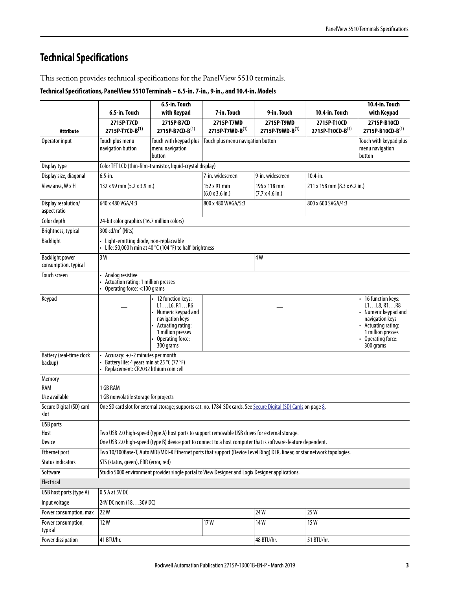## <span id="page-2-0"></span>**Technical Specifications**

This section provides technical specifications for the PanelView 5510 terminals.

<span id="page-2-1"></span>**Technical Specifications, PanelView 5510 Terminals – 6.5-in. 7-in., 9-in., and 10.4-in. Models** 

|                                                |                                                                                                                                                                                                                                                   | 6.5-in. Touch                                                                            |                                |                                                                                |                                                       | 10.4-in. Touch |  |
|------------------------------------------------|---------------------------------------------------------------------------------------------------------------------------------------------------------------------------------------------------------------------------------------------------|------------------------------------------------------------------------------------------|--------------------------------|--------------------------------------------------------------------------------|-------------------------------------------------------|----------------|--|
|                                                | 6.5-in. Touch                                                                                                                                                                                                                                     | with Keypad                                                                              | 7-in. Touch                    | 9-in. Touch                                                                    | 10.4-in. Touch                                        | with Keypad    |  |
| <b>Attribute</b>                               | 2715P-T7CD<br>2715P-T7CD-B(1)                                                                                                                                                                                                                     | 2715P-B7CD<br>2715P-B7CD-B(1)                                                            | 2715P-T7WD-B(1)                | 2715P-T7WD<br>2715P-T9WD<br>2715P-T10CD<br>2715P-T9WD-B(1)<br>2715P-T10CD-B(1) |                                                       |                |  |
| Operator input                                 | Touch plus menu<br>navigation button                                                                                                                                                                                                              | Touch with keypad plus<br>Touch plus menu navigation button<br>menu navigation<br>button |                                |                                                                                | Touch with keypad plus<br>menu navigation<br>button   |                |  |
| Display type                                   |                                                                                                                                                                                                                                                   | Color TFT LCD (thin-film-transistor, liquid-crystal display)                             |                                |                                                                                |                                                       |                |  |
| Display size, diagonal                         | $6.5$ -in.                                                                                                                                                                                                                                        |                                                                                          | 7-in. widescreen               | 9-in. widescreen                                                               | 10.4-in.                                              |                |  |
| View area, W x H                               | 132 x 99 mm (5.2 x 3.9 in.)                                                                                                                                                                                                                       |                                                                                          | 152 x 91 mm<br>(6.0 x 3.6 in.) | 196 x 118 mm<br>$(7.7 \times 4.6 \text{ in.})$                                 | 211 x 158 mm (8.3 x 6.2 in.)                          |                |  |
| Display resolution/<br>aspect ratio            | 640 x 480 VGA/4:3                                                                                                                                                                                                                                 |                                                                                          | 800 x 480 WVGA/5:3             |                                                                                | 800 x 600 SVGA/4:3                                    |                |  |
| Color depth                                    | 24-bit color graphics (16.7 million colors)                                                                                                                                                                                                       |                                                                                          |                                |                                                                                |                                                       |                |  |
| Brightness, typical                            | $300 \text{ d/m}^2$ (Nits)                                                                                                                                                                                                                        |                                                                                          |                                |                                                                                |                                                       |                |  |
| <b>Backlight</b>                               | • Light-emitting diode, non-replaceable                                                                                                                                                                                                           | • Life: 50,000 h min at 40 °C (104 °F) to half-brightness                                |                                |                                                                                |                                                       |                |  |
| <b>Backlight power</b><br>consumption, typical | 3 W                                                                                                                                                                                                                                               |                                                                                          |                                | 4W                                                                             |                                                       |                |  |
| Touch screen                                   | Analog resistive<br>Actuation rating: 1 million presses<br>Operating force: <100 grams                                                                                                                                                            |                                                                                          |                                |                                                                                |                                                       |                |  |
| Keypad                                         | 12 function keys:<br>L1L6, R1R6<br>Numeric keypad and<br>navigation keys<br>navigation keys<br>Actuating rating:<br>Actuating rating:<br>1 million presses<br>1 million presses<br>Operating force:<br>Operating force:<br>300 grams<br>300 grams |                                                                                          |                                |                                                                                | 16 function keys:<br>L1L8, R1R8<br>Numeric keypad and |                |  |
| Battery (real-time clock<br>backup)            | Accuracy: +/-2 minutes per month<br>Battery life: 4 years min at 25 °C (77 °F)<br>Replacement: CR2032 lithium coin cell                                                                                                                           |                                                                                          |                                |                                                                                |                                                       |                |  |
| Memory                                         |                                                                                                                                                                                                                                                   |                                                                                          |                                |                                                                                |                                                       |                |  |
| <b>RAM</b>                                     | 1 GB RAM                                                                                                                                                                                                                                          |                                                                                          |                                |                                                                                |                                                       |                |  |
| Use available                                  | 1 GB nonvolatile storage for projects                                                                                                                                                                                                             |                                                                                          |                                |                                                                                |                                                       |                |  |
| Secure Digital (SD) card<br>slot               | One SD card slot for external storage; supports cat. no. 1784-SDx cards. See Secure Digital (SD) Cards on page 8.                                                                                                                                 |                                                                                          |                                |                                                                                |                                                       |                |  |
| USB ports                                      |                                                                                                                                                                                                                                                   |                                                                                          |                                |                                                                                |                                                       |                |  |
| Host                                           | Two USB 2.0 high-speed (type A) host ports to support removable USB drives for external storage.                                                                                                                                                  |                                                                                          |                                |                                                                                |                                                       |                |  |
| Device                                         | One USB 2.0 high-speed (type B) device port to connect to a host computer that is software-feature dependent.                                                                                                                                     |                                                                                          |                                |                                                                                |                                                       |                |  |
| <b>Ethernet port</b>                           | Two 10/100Base-T, Auto MDI/MDI-X Ethernet ports that support (Device Level Ring) DLR, linear, or star network topologies.                                                                                                                         |                                                                                          |                                |                                                                                |                                                       |                |  |
| <b>Status indicators</b>                       | STS (status, green), ERR (error, red)<br>Studio 5000 environment provides single portal to View Designer and Logix Designer applications.                                                                                                         |                                                                                          |                                |                                                                                |                                                       |                |  |
| Software                                       |                                                                                                                                                                                                                                                   |                                                                                          |                                |                                                                                |                                                       |                |  |
| Electrical                                     | 0.5 A at 5V DC                                                                                                                                                                                                                                    |                                                                                          |                                |                                                                                |                                                       |                |  |
| USB host ports (type A)                        |                                                                                                                                                                                                                                                   |                                                                                          |                                |                                                                                |                                                       |                |  |
| Input voltage                                  | 24V DC nom (1830V DC)                                                                                                                                                                                                                             |                                                                                          |                                |                                                                                |                                                       |                |  |
| Power consumption, max                         | 22W                                                                                                                                                                                                                                               |                                                                                          |                                | 24W                                                                            | 25W                                                   |                |  |
| Power consumption,<br>typical                  | 12W                                                                                                                                                                                                                                               |                                                                                          | 17W                            | 14W                                                                            | 15W                                                   |                |  |
| Power dissipation                              | 41 BTU/hr.                                                                                                                                                                                                                                        |                                                                                          |                                | 48 BTU/hr.                                                                     | 51 BTU/hr.                                            |                |  |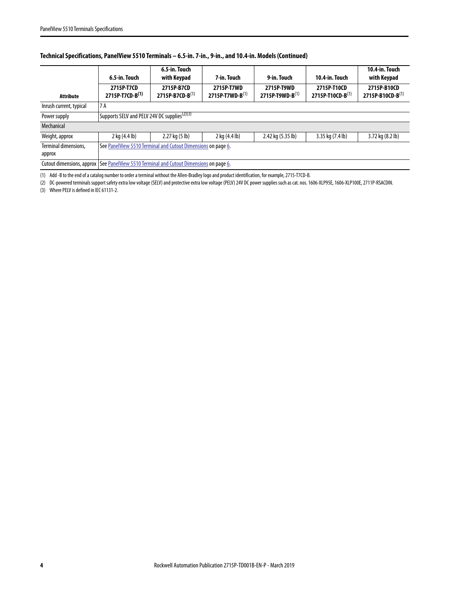#### **Technical Specifications, PanelView 5510 Terminals – 6.5-in. 7-in., 9-in., and 10.4-in. Models (Continued)**

|                                                                                          | 6.5-in. Touch<br>10.4-in. Touch<br>10.4-in. Touch<br>6.5-in. Touch<br>with Keypad<br>9-in. Touch<br>with Keypad<br>7-in. Touch |                                                                                                                                                                       |                   |                   |                  |                  |  |  |  |
|------------------------------------------------------------------------------------------|--------------------------------------------------------------------------------------------------------------------------------|-----------------------------------------------------------------------------------------------------------------------------------------------------------------------|-------------------|-------------------|------------------|------------------|--|--|--|
| Attribute                                                                                | 2715P-T7CD<br>2715P-T7CD-B <sup>(1)</sup>                                                                                      | 2715P-B7CD<br>2715P-B10CD<br>2715P-T7WD<br>2715P-T9WD<br>2715P-T10CD<br>2715P-T9WD-B(1)<br>2715P-B7CD-B(1)<br>2715P-T7WD-B(1)<br>2715P-B10CD-B(1)<br>2715P-T10CD-B(1) |                   |                   |                  |                  |  |  |  |
| Inrush current, typical                                                                  | '7 A                                                                                                                           |                                                                                                                                                                       |                   |                   |                  |                  |  |  |  |
| Power supply                                                                             | Supports SELV and PELV 24V DC supplies <sup>(2)(3)</sup>                                                                       |                                                                                                                                                                       |                   |                   |                  |                  |  |  |  |
| Mechanical                                                                               |                                                                                                                                |                                                                                                                                                                       |                   |                   |                  |                  |  |  |  |
| Weight, approx                                                                           | $2$ kg $(4.4$ lb)                                                                                                              | $2.27$ kg $(5 \text{ lb})$                                                                                                                                            | $2$ kg $(4.4$ lb) | 2.42 kg (5.35 lb) | 3.35 kg (7.4 lb) | 3.72 kg (8.2 lb) |  |  |  |
| Terminal dimensions,                                                                     | See PanelView 5510 Terminal and Cutout Dimensions on page 6.                                                                   |                                                                                                                                                                       |                   |                   |                  |                  |  |  |  |
| approx                                                                                   |                                                                                                                                |                                                                                                                                                                       |                   |                   |                  |                  |  |  |  |
| Cutout dimensions, approx   See PanelView 5510 Terminal and Cutout Dimensions on page 6. |                                                                                                                                |                                                                                                                                                                       |                   |                   |                  |                  |  |  |  |

(1) Add -B to the end of a catalog number to order a terminal without the Allen-Bradley logo and product identification, for example, 2715-T7CD-B.

(2) DC-powered terminals support safety extra low voltage (SELV) and protective extra low voltage (PELV) 24V DC power supplies such as cat. nos. 1606-XLP95E, 1606-XLP100E, 2711P-RSACDIN.

(3) Where PELV is defined in IEC 61131-2.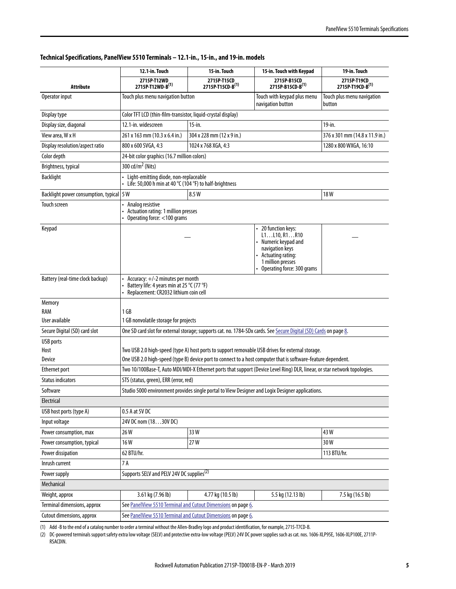|  |  | Technical Specifications, PanelView 5510 Terminals – 12.1-in., 15-in., and 19-in. models |  |  |
|--|--|------------------------------------------------------------------------------------------|--|--|
|--|--|------------------------------------------------------------------------------------------|--|--|

|                                                   | 12.1-in. Touch                                                                                                          | 15-in. Touch                                                                                                                                       | 15-in. Touch with Keypad                                                                                                  | 19-in. Touch                         |  |  |
|---------------------------------------------------|-------------------------------------------------------------------------------------------------------------------------|----------------------------------------------------------------------------------------------------------------------------------------------------|---------------------------------------------------------------------------------------------------------------------------|--------------------------------------|--|--|
| <b>Attribute</b>                                  | 2715P-T12WD<br>2715P-T12WD-B(1)                                                                                         | 2715P-T15CD<br>2715P-B15CD<br>2715P-B15CD-B(1)<br>2715P-T15CD-B <sup>(1)</sup>                                                                     |                                                                                                                           | 2715P-T19CD<br>2715P-T19CD-B(1)      |  |  |
| Operator input                                    | Touch plus menu navigation button                                                                                       |                                                                                                                                                    | Touch with keypad plus menu<br>navigation button                                                                          | Touch plus menu navigation<br>button |  |  |
| Display type                                      | Color TFT LCD (thin-film-transistor, liquid-crystal display)                                                            |                                                                                                                                                    |                                                                                                                           |                                      |  |  |
| Display size, diagonal                            | 12.1-in. widescreen                                                                                                     | $15$ -in.                                                                                                                                          |                                                                                                                           | 19-in.                               |  |  |
| View area, W x H                                  | 261 x 163 mm (10.3 x 6.4 in.)                                                                                           | 304 x 228 mm (12 x 9 in.)                                                                                                                          |                                                                                                                           | 376 x 301 mm (14.8 x 11.9 in.)       |  |  |
| Display resolution/aspect ratio                   | 800 x 600 SVGA, 4:3                                                                                                     | 1024 x 768 XGA, 4:3                                                                                                                                |                                                                                                                           | 1280 x 800 WXGA, 16:10               |  |  |
| Color depth                                       |                                                                                                                         | 24-bit color graphics (16.7 million colors)                                                                                                        |                                                                                                                           |                                      |  |  |
| Brightness, typical                               | 300 cd/m <sup>2</sup> (Nits)                                                                                            |                                                                                                                                                    |                                                                                                                           |                                      |  |  |
| <b>Backlight</b>                                  | • Light-emitting diode, non-replaceable<br>- Life: 50,000 h min at 40 °C (104 °F) to half-brightness                    |                                                                                                                                                    |                                                                                                                           |                                      |  |  |
| Backlight power consumption, typical 5 W          |                                                                                                                         | 8.5W                                                                                                                                               |                                                                                                                           | <b>18W</b>                           |  |  |
| Touch screen                                      | Analog resistive<br>Actuation rating: 1 million presses<br>Operating force: <100 grams                                  |                                                                                                                                                    |                                                                                                                           |                                      |  |  |
| Keypad                                            |                                                                                                                         | 20 function keys:<br>L1L10, R1R10<br>Numeric keypad and<br>navigation keys<br>Actuating rating:<br>1 million presses<br>Operating force: 300 grams |                                                                                                                           |                                      |  |  |
| Battery (real-time clock backup)                  | Accuracy: +/-2 minutes per month<br>Battery life: 4 years min at 25 °C (77 °F)<br>Replacement: CR2032 lithium coin cell |                                                                                                                                                    |                                                                                                                           |                                      |  |  |
| Memory                                            |                                                                                                                         |                                                                                                                                                    |                                                                                                                           |                                      |  |  |
| RAM                                               | 1 GB                                                                                                                    |                                                                                                                                                    |                                                                                                                           |                                      |  |  |
| User available                                    | 1 GB nonvolatile storage for projects                                                                                   |                                                                                                                                                    |                                                                                                                           |                                      |  |  |
| Secure Digital (SD) card slot<br><b>USB</b> ports |                                                                                                                         |                                                                                                                                                    | One SD card slot for external storage; supports cat. no. 1784-SDx cards. See Secure Digital (SD) Cards on page 8.         |                                      |  |  |
| Host                                              | Two USB 2.0 high-speed (type A) host ports to support removable USB drives for external storage.                        |                                                                                                                                                    |                                                                                                                           |                                      |  |  |
| Device                                            |                                                                                                                         | One USB 2.0 high-speed (type B) device port to connect to a host computer that is software-feature dependent.                                      |                                                                                                                           |                                      |  |  |
| <b>Ethernet port</b>                              |                                                                                                                         |                                                                                                                                                    | Two 10/100Base-T, Auto MDI/MDI-X Ethernet ports that support (Device Level Ring) DLR, linear, or star network topologies. |                                      |  |  |
| <b>Status indicators</b>                          | STS (status, green), ERR (error, red)                                                                                   |                                                                                                                                                    |                                                                                                                           |                                      |  |  |
| Software                                          |                                                                                                                         |                                                                                                                                                    | Studio 5000 environment provides single portal to View Designer and Logix Designer applications.                          |                                      |  |  |
| Electrical                                        |                                                                                                                         |                                                                                                                                                    |                                                                                                                           |                                      |  |  |
| USB host ports (type A)                           | 0.5 A at 5V DC                                                                                                          |                                                                                                                                                    |                                                                                                                           |                                      |  |  |
| Input voltage                                     | 24V DC nom (1830V DC)                                                                                                   |                                                                                                                                                    |                                                                                                                           |                                      |  |  |
| Power consumption, max                            | 26W                                                                                                                     | 33W                                                                                                                                                |                                                                                                                           | 43W                                  |  |  |
| Power consumption, typical                        | 16W                                                                                                                     | 27W                                                                                                                                                |                                                                                                                           | 30W                                  |  |  |
| Power dissipation                                 | 62 BTU/hr.                                                                                                              |                                                                                                                                                    |                                                                                                                           | 113 BTU/hr.                          |  |  |
| Inrush current                                    | 7 A                                                                                                                     |                                                                                                                                                    |                                                                                                                           |                                      |  |  |
| Power supply                                      | Supports SELV and PELV 24V DC supplies <sup>(2)</sup>                                                                   |                                                                                                                                                    |                                                                                                                           |                                      |  |  |
| Mechanical                                        |                                                                                                                         |                                                                                                                                                    |                                                                                                                           |                                      |  |  |
| Weight, approx                                    | 3.61 kg (7.96 lb)                                                                                                       | 4.77 kg (10.5 lb)                                                                                                                                  | 5.5 kg (12.13 lb)                                                                                                         | 7.5 kg (16.5 lb)                     |  |  |
| Terminal dimensions, approx                       |                                                                                                                         | See PanelView 5510 Terminal and Cutout Dimensions on page 6.                                                                                       |                                                                                                                           |                                      |  |  |
| Cutout dimensions, approx                         |                                                                                                                         | See PanelView 5510 Terminal and Cutout Dimensions on page 6.                                                                                       |                                                                                                                           |                                      |  |  |

(1) Add -B to the end of a catalog number to order a terminal without the Allen-Bradley logo and product identification, for example, 2715-T7CD-B.

(2) DC-powered terminals support safety extra low voltage (SELV) and protective extra-low voltage (PELV) 24V DC power supplies such as cat. nos. 1606-XLP95E, 1606-XLP100E, 2711P-RSACDIN.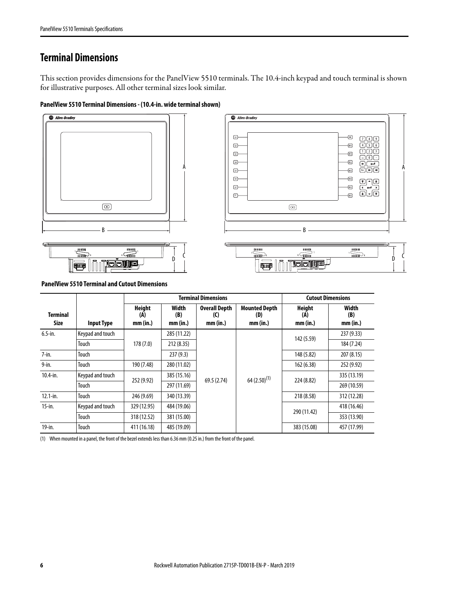### <span id="page-5-0"></span>**Terminal Dimensions**

This section provides dimensions for the PanelView 5510 terminals. The 10.4-inch keypad and touch terminal is shown for illustrative purposes. All other terminal sizes look similar.







<span id="page-5-1"></span> **PanelView 5510 Terminal and Cutout Dimensions**

|                         |                   |                                  |                          | <b>Terminal Dimensions</b>                                                         |            |                           | <b>Cutout Dimensions</b> |             |
|-------------------------|-------------------|----------------------------------|--------------------------|------------------------------------------------------------------------------------|------------|---------------------------|--------------------------|-------------|
| <b>Terminal</b><br>Size | <b>Input Type</b> | <b>Height</b><br>(A)<br>mm (in.) | Width<br>(B)<br>mm (in.) | <b>Mounted Depth</b><br><b>Overall Depth</b><br>(D)<br>(C)<br>mm (in.)<br>mm (in.) |            | Height<br>(A)<br>mm (in.) | Width<br>(B)<br>mm (in.) |             |
| $6.5$ -in.              | Keypad and touch  |                                  | 285 (11.22)              |                                                                                    |            | 142 (5.59)                | 237 (9.33)               |             |
|                         | Touch             | 178(7.0)                         | 212 (8.35)               |                                                                                    |            |                           | 184 (7.24)               |             |
| $7 - in.$               | Touch             |                                  | 237(9.3)                 | 69.5 (2.74)                                                                        |            |                           | 148 (5.82)               | 207 (8.15)  |
| $9$ -in.                | Touch             | 190 (7.48)<br>252 (9.92)         | 280 (11.02)              |                                                                                    |            |                           | 162(6.38)                | 252 (9.92)  |
| $10.4 - in.$            | Keypad and touch  |                                  | 385 (15.16)              |                                                                                    |            | $64(2.50)^{(1)}$          |                          | 335 (13.19) |
|                         | Touch             |                                  | 297 (11.69)              |                                                                                    |            | 224 (8.82)                | 269 (10.59)              |             |
| $12.1 - in.$            | Touch             | 246 (9.69)                       | 340 (13.39)              |                                                                                    | 218 (8.58) | 312 (12.28)               |                          |             |
| $15$ -in.               | Keypad and touch  | 329 (12.95)                      | 484 (19.06)              |                                                                                    |            | 290 (11.42)               | 418 (16.46)              |             |
|                         | Touch             | 318 (12.52)                      | 381 (15.00)              |                                                                                    |            |                           | 353 (13.90)              |             |
| $19$ -in.               | <b>Touch</b>      | 411 (16.18)                      | 485 (19.09)              |                                                                                    |            | 383 (15.08)               | 457 (17.99)              |             |

(1) When mounted in a panel, the front of the bezel extends less than 6.36 mm (0.25 in.) from the front of the panel.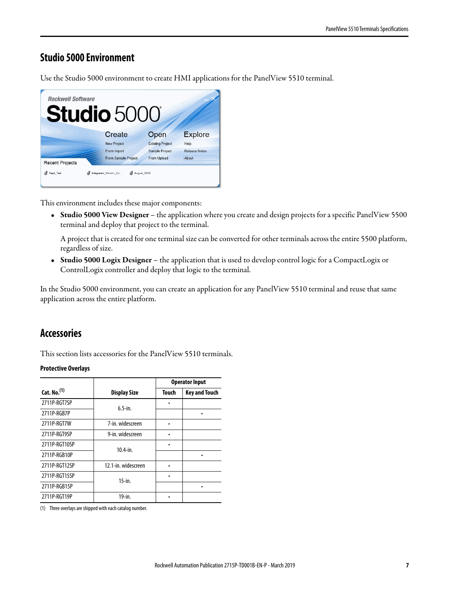### <span id="page-6-0"></span>**Studio 5000 Environment**

Use the Studio 5000 environment to create HMI applications for the PanelView 5510 terminal.



This environment includes these major components:

• **Studio 5000 View Designer** – the application where you create and design projects for a specific PanelView 5500 terminal and deploy that project to the terminal.

A project that is created for one terminal size can be converted for other terminals across the entire 5500 platform, regardless of size.

• **Studio 5000 Logix Designer** – the application that is used to develop control logic for a CompactLogix or ControlLogix controller and deploy that logic to the terminal.

In the Studio 5000 environment, you can create an application for any PanelView 5510 terminal and reuse that same application across the entire platform.

### <span id="page-6-1"></span>**Accessories**

This section lists accessories for the PanelView 5510 terminals.

#### **Protective Overlays**

|                         |                     | <b>Operator Input</b> |                      |
|-------------------------|---------------------|-----------------------|----------------------|
| Cat. No. <sup>(1)</sup> | <b>Display Size</b> | Touch                 | <b>Key and Touch</b> |
| 2711P-RGT7SP            | $6.5$ -in.          |                       |                      |
| 2711P-RGB7P             |                     |                       |                      |
| 2711P-RGT7W             | 7-in. widescreen    |                       |                      |
| 2711P-RGT9SP            | 9-in. widescreen    |                       |                      |
| 2711P-RGT10SP           | $10.4 - in.$        |                       |                      |
| 2711P-RGB10P            |                     |                       |                      |
| 2711P-RGT12SP           | 12.1-in. widescreen |                       |                      |
| 2711P-RGT15SP           | $15$ -in.           |                       |                      |
| 2711P-RGB15P            |                     |                       |                      |
| 2711P-RGT19P            | 19-in.              |                       |                      |

(1) Three overlays are shipped with each catalog number.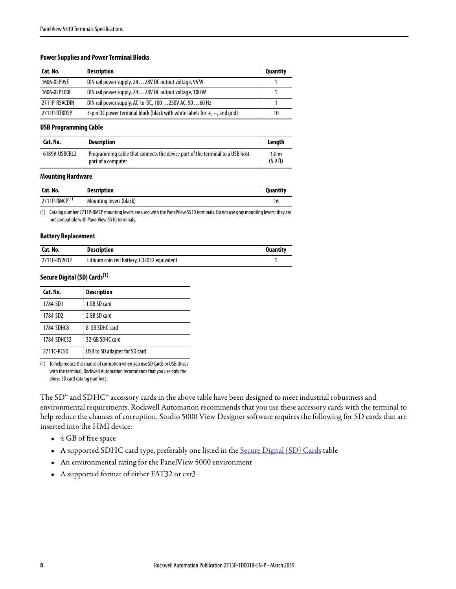#### **Power Supplies and Power Terminal Blocks**

| Cat. No.      | Description                                                                     | <b>Quantity</b> |
|---------------|---------------------------------------------------------------------------------|-----------------|
| 1606-XLP95E   | DIN rail power supply, 2428V DC output voltage, 95 W                            |                 |
| 1606-XI P100F | DIN rail power supply, 2428V DC output voltage, 100 W                           |                 |
| 2711P-RSACDIN | DIN rail power supply, AC-to-DC, 100250V AC, 5060 Hz                            |                 |
| 2711P-RTBDSP  | 3-pin DC power terminal block (black with white labels for $+$ , $-$ , and gnd) | 10              |

#### **USB Programming Cable**

| Cat. No.      | <b>Description</b>                                                                                  | Lenath                       |
|---------------|-----------------------------------------------------------------------------------------------------|------------------------------|
| 6189V-USBCBL2 | Programming cable that connects the device port of the terminal to a USB host<br>port of a computer | 1.8 <sub>m</sub><br>(5.9 ft) |

#### **Mounting Hardware**

| Cat. No.                  | <b>Description</b>      | Ouantitv |
|---------------------------|-------------------------|----------|
| 2711P-RMCP <sup>(1)</sup> | Mounting levers (black) | 16       |

(1) Catalog number 2711P-RMCP mounting levers are used with the PanelView 5510 terminals. Do not use gray mounting levers; they are not compatible with PanelView 5510 terminals.

#### **Battery Replacement**

| Cat. No.     | Description                                  | <b>Quantity</b> |
|--------------|----------------------------------------------|-----------------|
| 2711P-RY2032 | Lithium coin cell battery, CR2032 equivalent |                 |

#### <span id="page-7-0"></span>**Secure Digital (SD) Cards(1)**

| Cat. No.    | <b>Description</b>            |  |
|-------------|-------------------------------|--|
| 1784-SD1    | 1 GB SD card                  |  |
| 1784-SD2    | 2 GB SD card                  |  |
| 1784-SDHC8  | 8-GB SDHC card                |  |
| 1784-SDHC32 | 32-GB SDHC card               |  |
| 2711C-RCSD  | USB to SD adapter for SD card |  |

(1) To help reduce the chance of corruption when you use SD Cards or USB drives with the terminal, Rockwell Automation recommends that you use only the above SD card catalog numbers.

The SD™ and SDHC™ accessory cards in the above table have been designed to meet industrial robustness and environmental requirements. Rockwell Automation recommends that you use these accessory cards with the terminal to help reduce the chances of corruption. Studio 5000 View Designer software requires the following for SD cards that are inserted into the HMI device:

- 4 GB of free space
- A supported SDHC card type, preferably one listed in the [Secure Digital \(SD\) Cards](#page-7-0) table
- An environmental rating for the PanelView 5000 environment
- A supported format of either FAT32 or ext3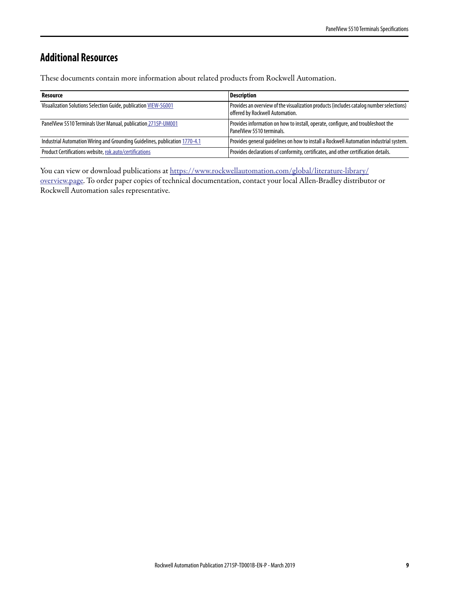### <span id="page-8-0"></span>**Additional Resources**

These documents contain more information about related products from Rockwell Automation.

| Resource                                                                    | Description                                                                                                                |  |
|-----------------------------------------------------------------------------|----------------------------------------------------------------------------------------------------------------------------|--|
| Visualization Solutions Selection Guide, publication VIEW-SG001             | Provides an overview of the visualization products (includes catalog number selections)<br>offered by Rockwell Automation. |  |
| PanelView 5510 Terminals User Manual, publication 2715P-UM001               | Provides information on how to install, operate, configure, and troubleshoot the<br>PanelView 5510 terminals.              |  |
| Industrial Automation Wiring and Grounding Guidelines, publication 1770-4.1 | Provides general guidelines on how to install a Rockwell Automation industrial system.                                     |  |
| Product Certifications website, rok.auto/certifications                     | Provides declarations of conformity, certificates, and other certification details.                                        |  |

Youcan view or download publications at [https://www.rockwellautomation.com/global/literature-library/](https://www.rockwellautomation.com/global/literature-library/overview.page) [overview.page.](https://www.rockwellautomation.com/global/literature-library/overview.page) To order paper copies of technical documentation, contact your local Allen-Bradley distributor or Rockwell Automation sales representative.